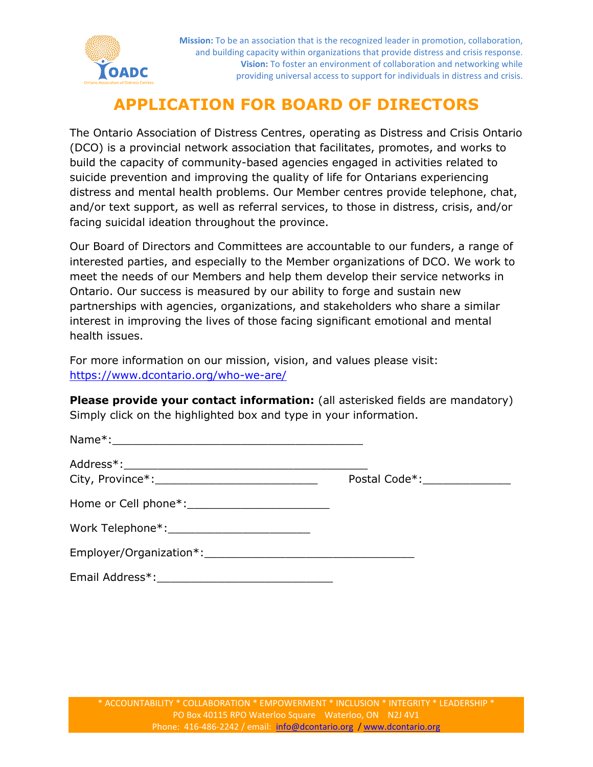

**Mission:** To be an association that is the recognized leader in promotion, collaboration, and building capacity within organizations that provide distress and crisis response. **Vision:** To foster an environment of collaboration and networking while providing universal access to support for individuals in distress and crisis.

## **APPLICATION FOR BOARD OF DIRECTORS**

The Ontario Association of Distress Centres, operating as Distress and Crisis Ontario (DCO) is a provincial network association that facilitates, promotes, and works to build the capacity of community-based agencies engaged in activities related to suicide prevention and improving the quality of life for Ontarians experiencing distress and mental health problems. Our Member centres provide telephone, chat, and/or text support, as well as referral services, to those in distress, crisis, and/or facing suicidal ideation throughout the province.

Our Board of Directors and Committees are accountable to our funders, a range of interested parties, and especially to the Member organizations of DCO. We work to meet the needs of our Members and help them develop their service networks in Ontario. Our success is measured by our ability to forge and sustain new partnerships with agencies, organizations, and stakeholders who share a similar interest in improving the lives of those facing significant emotional and mental health issues.

For more information on our mission, vision, and values please visit: <https://www.dcontario.org/who-we-are/>

**Please provide your contact information:** (all asterisked fields are mandatory) Simply click on the highlighted box and type in your information.

|                                                                                                                                                                                                                                | Postal Code*: _______________ |
|--------------------------------------------------------------------------------------------------------------------------------------------------------------------------------------------------------------------------------|-------------------------------|
|                                                                                                                                                                                                                                |                               |
|                                                                                                                                                                                                                                |                               |
| Employer/Organization*: example and the set of the set of the set of the set of the set of the set of the set of the set of the set of the set of the set of the set of the set of the set of the set of the set of the set of |                               |
|                                                                                                                                                                                                                                |                               |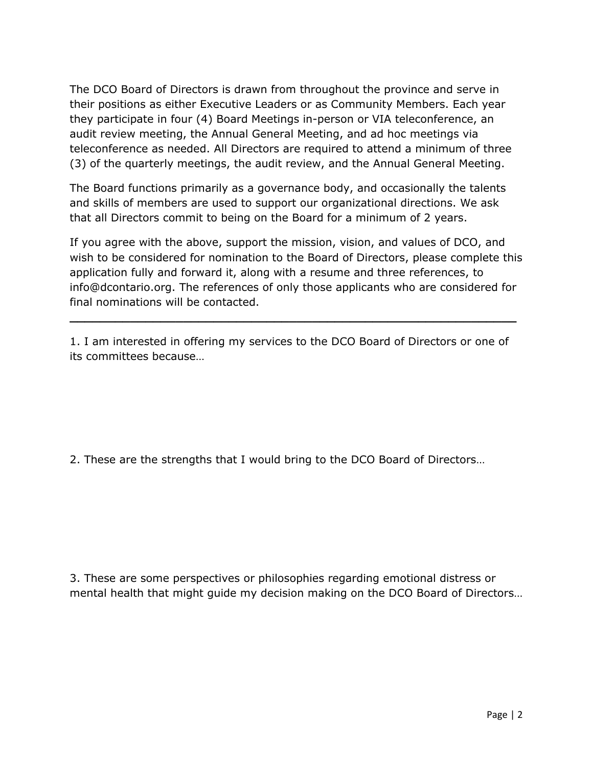The DCO Board of Directors is drawn from throughout the province and serve in their positions as either Executive Leaders or as Community Members. Each year they participate in four (4) Board Meetings in-person or VIA teleconference, an audit review meeting, the Annual General Meeting, and ad hoc meetings via teleconference as needed. All Directors are required to attend a minimum of three (3) of the quarterly meetings, the audit review, and the Annual General Meeting.

The Board functions primarily as a governance body, and occasionally the talents and skills of members are used to support our organizational directions. We ask that all Directors commit to being on the Board for a minimum of 2 years.

If you agree with the above, support the mission, vision, and values of DCO, and wish to be considered for nomination to the Board of Directors, please complete this application fully and forward it, along with a resume and three references, to info@dcontario.org. The references of only those applicants who are considered for final nominations will be contacted.

1. I am interested in offering my services to the DCO Board of Directors or one of its committees because…

**\_\_\_\_\_\_\_\_\_\_\_\_\_\_\_\_\_\_\_\_\_\_\_\_\_\_\_\_\_\_\_\_\_\_\_\_\_\_\_\_\_\_\_\_\_\_\_\_\_\_\_\_\_\_\_\_\_\_\_**

2. These are the strengths that I would bring to the DCO Board of Directors…

3. These are some perspectives or philosophies regarding emotional distress or mental health that might guide my decision making on the DCO Board of Directors…